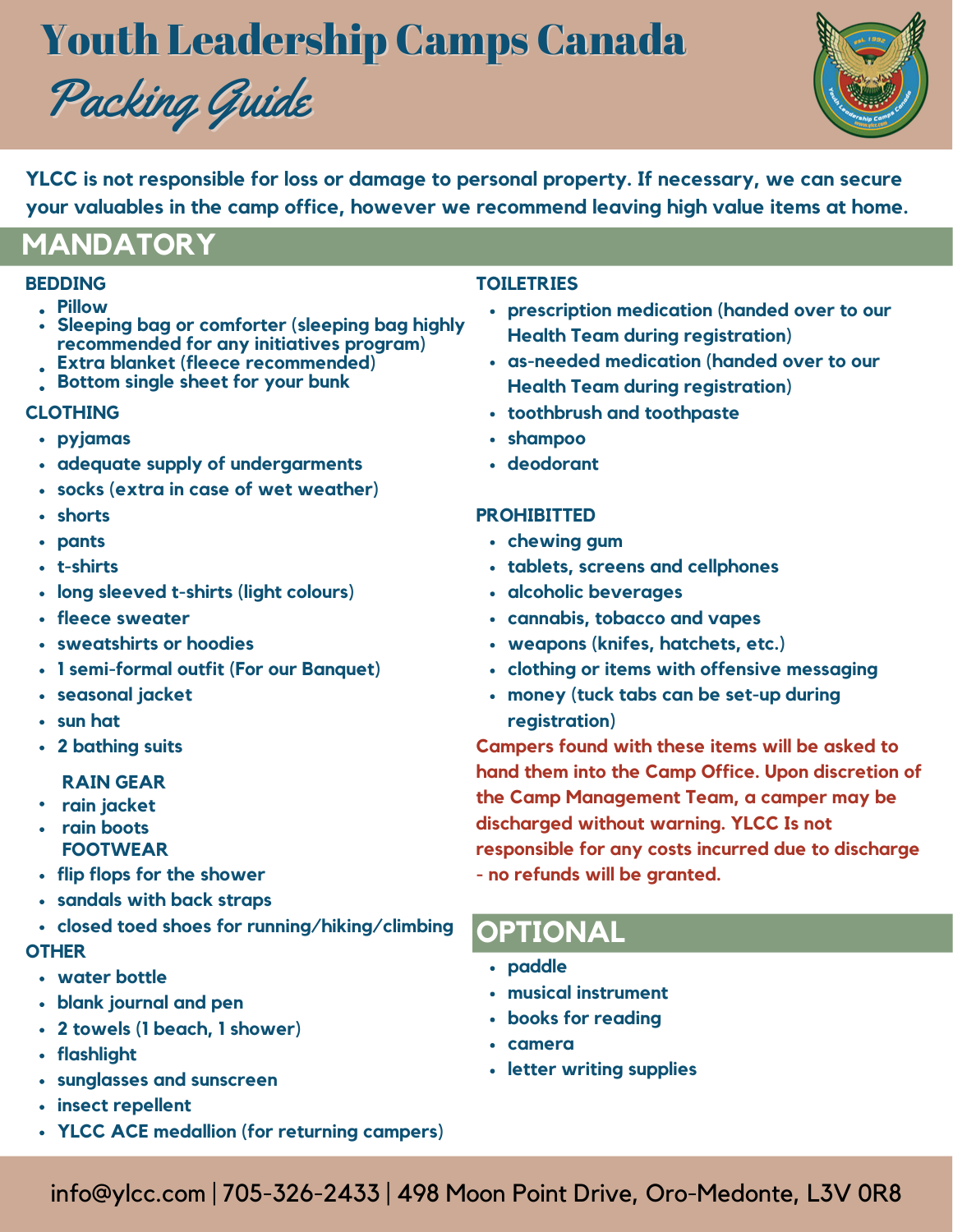# Youth Leadership Camps Canada





**YLCC is not responsible for loss or damage to personal property. If necessary, we can secure your valuables in the camp office, however we recommend leaving high value items at home.**

## **MANDATORY**

## **BEDDING**

- **Pillow**
- **Sleeping bag or comforter (sleeping bag highly recommended for any initiatives program)**
- **Extra blanket (fleece recommended)**
- **Bottom single sheet for your bunk**

## **CLOTHING**

- **pyjamas**
- **adequate supply of undergarments**
- **socks (extra in case of wet weather)**
- **shorts**
- **pants**
- **t-shirts**
- **long sleeved t-shirts (light colours)**
- **fleece sweater**
- **sweatshirts or hoodies**
- **1 semi-formal outfit (For our Banquet)**
- **seasonal jacket**
- **sun hat**
- **2 bathing suits**

#### **RAIN GEAR**

- **rain jacket**
- **rain boots FOOTWEAR**
- **flip flops for the shower**
- **sandals with back straps**
- **closed toed shoes for running/hiking/climbing**

#### **OTHER**

- **water bottle**
- **blank journal and pen**
- **2 towels (1 beach, 1 shower)**
- **flashlight**
- **sunglasses and sunscreen**
- **insect repellent**
- **YLCC ACE medallion (for returning campers)**

### **TOILETRIES**

- **prescription medication (handed over to our Health Team during registration)**
- **as-needed medication (handed over to our Health Team during registration)**
- **toothbrush and toothpaste**
- **shampoo**
- **deodorant**

### **PROHIBITTED**

- **chewing gum**
- **tablets, screens and cellphones**
- **alcoholic beverages**
- **cannabis, tobacco and vapes**
- **weapons (knifes, hatchets, etc.)**
- **clothing or items with offensive messaging**
- **money (tuck tabs can be set-up during registration)**

**Campers found with these items will be asked to hand them into the Camp Office. Upon discretion of the Camp Management Team, a camper may be discharged without warning. YLCC Is not responsible for any costs incurred due to discharge - no refunds will be granted.**

## **OPTIONAL**

- **paddle**
- **musical instrument**
- **books for reading**
- **camera**
- **letter writing supplies**

info@ylcc.com | 705-326-2433 | 498 Moon Point Drive, Oro-Medonte, L3V 0R8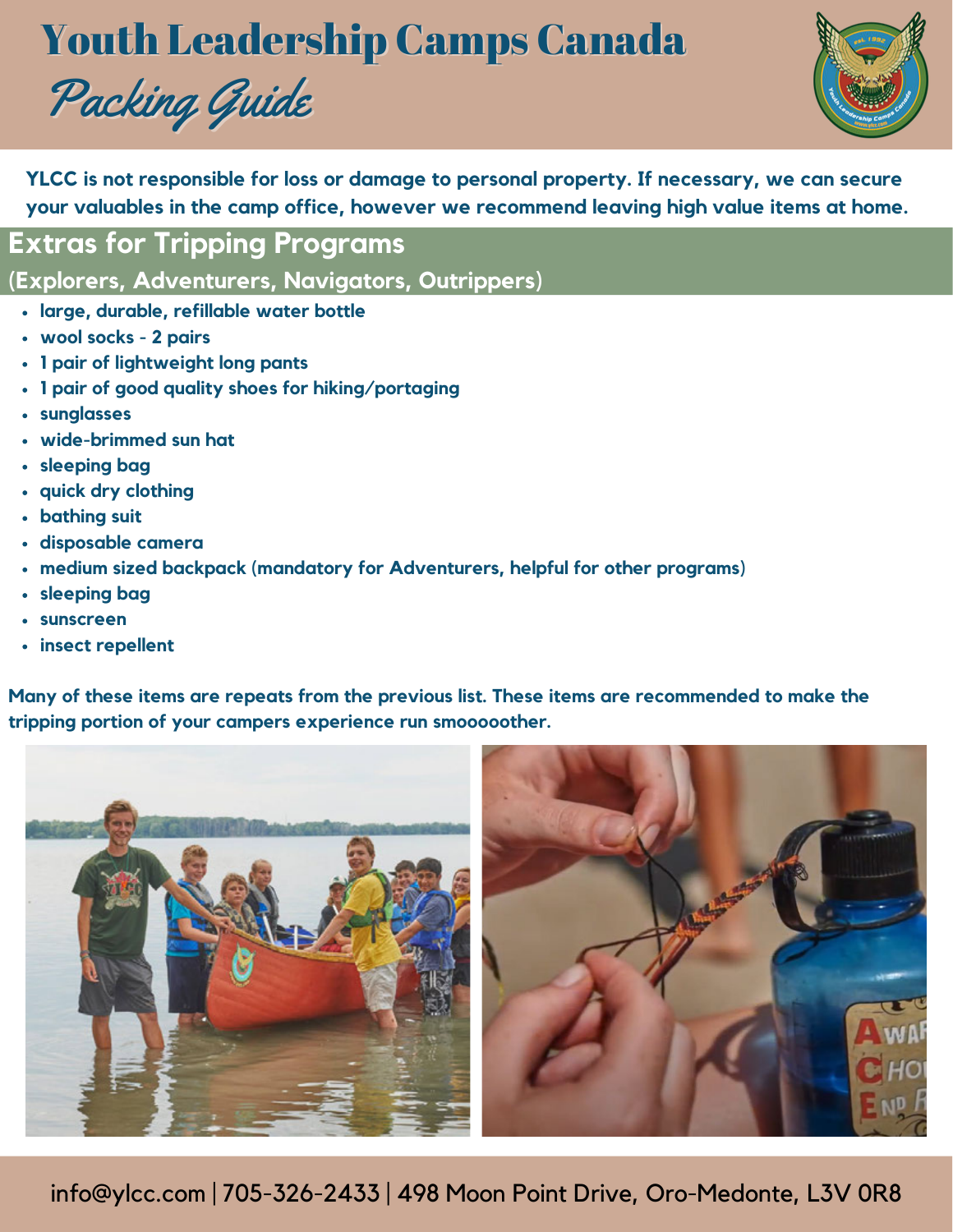# Youth Leadership Camps Canada





**YLCC is not responsible for loss or damage to personal property. If necessary, we can secure your valuables in the camp office, however we recommend leaving high value items at home.**

**Extras for Tripping Programs**

**(Explorers, Adventurers, Navigators, Outrippers)**

- **large, durable, refillable water bottle**
- **wool socks 2 pairs**
- **1 pair of lightweight long pants**
- **1 pair of good quality shoes for hiking/portaging**
- **sunglasses**
- **wide-brimmed sun hat**
- **sleeping bag**
- **quick dry clothing**
- **bathing suit**
- **disposable camera**
- **medium sized backpack (mandatory for Adventurers, helpful for other programs)**
- **sleeping bag**
- **sunscreen**
- **insect repellent**

**Many of these items are repeats from the previous list. These items are recommended to make the tripping portion of your campers experience run smooooother.**



info@ylcc.com | 705-326-2433 | 498 Moon Point Drive, Oro-Medonte, L3V 0R8